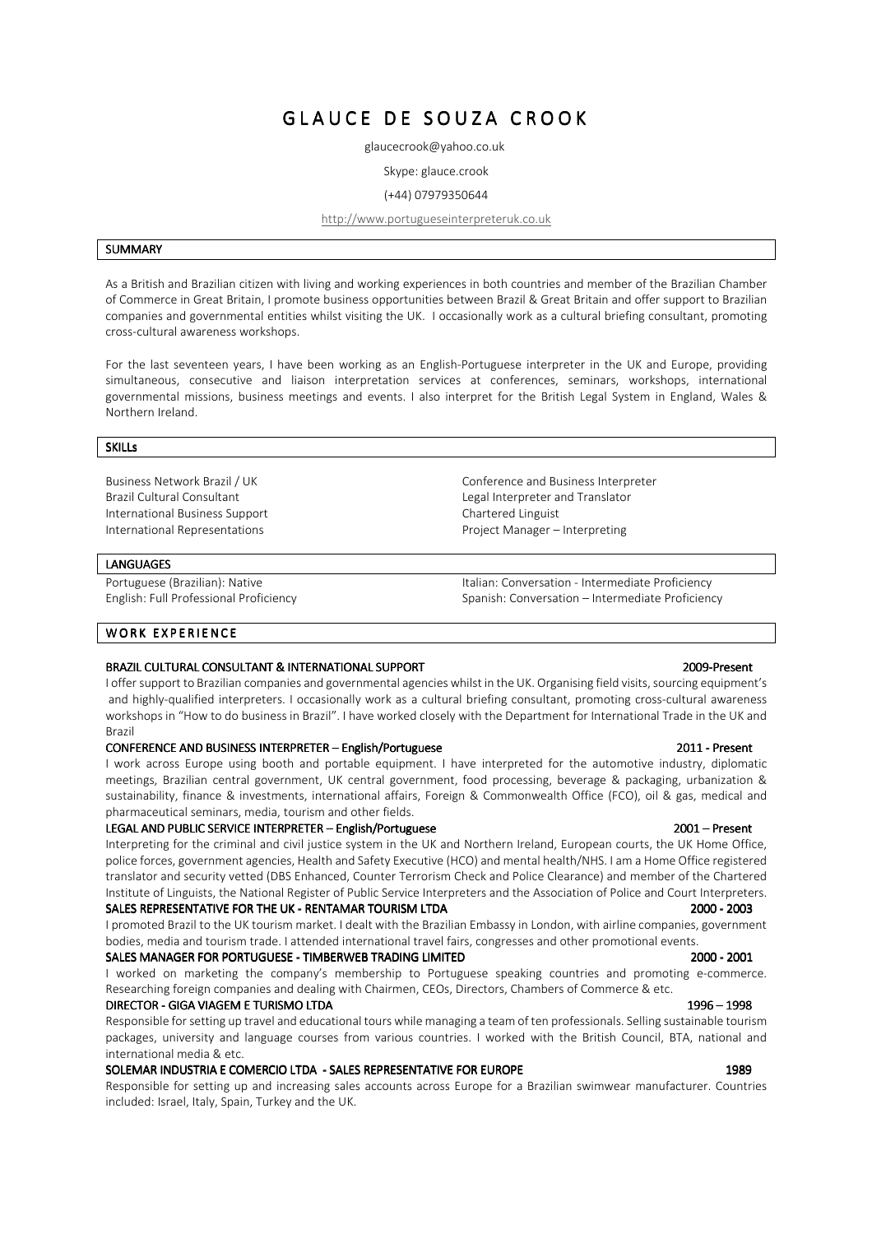# GLAUCE DE SOUZA CROOK

glaucecrook@yahoo.co.uk

Skype: glauce.crook

#### (+44) 07979350644

### http://www.portugueseinterpreteruk.co.uk

#### **SUMMARY**

As a British and Brazilian citizen with living and working experiences in both countries and member of the Brazilian Chamber of Commerce in Great Britain, I promote business opportunities between Brazil & Great Britain and offer support to Brazilian companies and governmental entities whilst visiting the UK. I occasionally work as a cultural briefing consultant, promoting cross-cultural awareness workshops.

For the last seventeen years, I have been working as an English-Portuguese interpreter in the UK and Europe, providing simultaneous, consecutive and liaison interpretation services at conferences, seminars, workshops, international governmental missions, business meetings and events. I also interpret for the British Legal System in England, Wales & Northern Ireland.

> Conference and Business Interpreter Legal Interpreter and Translator

Italian: Conversation - Intermediate Proficiency Spanish: Conversation – Intermediate Proficiency

Project Manager – Interpreting

Chartered Linguist

#### SKILLs

Business Network Brazil / UK Brazil Cultural Consultant International Business Support International Representations

#### **LANGUAGES**

Portuguese (Brazilian): Native English: Full Professional Proficiency

WORK EXPERIENCE

### BRAZIL CULTURAL CONSULTANT & INTERNATIONAL SUPPORT **2009-Present Present Present Present Present** Present Present

I offer support to Brazilian companies and governmental agencies whilst in the UK. Organising field visits, sourcing equipment's and highly-qualified interpreters. I occasionally work as a cultural briefing consultant, promoting cross-cultural awareness workshops in "How to do business in Brazil". I have worked closely with the Department for International Trade in the UK and Brazil

### CONFERENCE AND BUSINESS INTERPRETER – English/Portuguese 2011 - Present 2011 - Present

I work across Europe using booth and portable equipment. I have interpreted for the automotive industry, diplomatic meetings, Brazilian central government, UK central government, food processing, beverage & packaging, urbanization & sustainability, finance & investments, international affairs, Foreign & Commonwealth Office (FCO), oil & gas, medical and pharmaceutical seminars, media, tourism and other fields.

#### LEGAL AND PUBLIC SERVICE INTERPRETER – English/Portuguese 2001 – 2001 – Present

Interpreting for the criminal and civil justice system in the UK and Northern Ireland, European courts, the UK Home Office, police forces, government agencies, Health and Safety Executive (HCO) and mental health/NHS. I am a Home Office registered translator and security vetted (DBS Enhanced, Counter Terrorism Check and Police Clearance) and member of the Chartered Institute of Linguists, the National Register of Public Service Interpreters and the Association of Police and Court Interpreters.

## SALES REPRESENTATIVE FOR THE UK - RENTAMAR TOURISM LTDA 2000 2000 2000 2000 2000 2000 2003

I promoted Brazil to the UK tourism market. I dealt with the Brazilian Embassy in London, with airline companies, government bodies, media and tourism trade. I attended international travel fairs, congresses and other promotional events.

### SALES MANAGER FOR PORTUGUESE - TIMBERWEB TRADING LIMITED 2000 2000 2000 - 2000 2000 2001

I worked on marketing the company's membership to Portuguese speaking countries and promoting e-commerce. Researching foreign companies and dealing with Chairmen, CEOs, Directors, Chambers of Commerce & etc.

### DIRECTOR - GIGA VIAGEM E TURISMO LTDA 1998 1996 - 1998

Responsible for setting up travel and educational tours while managing a team of ten professionals. Selling sustainable tourism packages, university and language courses from various countries. I worked with the British Council, BTA, national and international media & etc.

### SOLEMAR INDUSTRIA E COMERCIO LTDA - SALES REPRESENTATIVE FOR EUROPE 1989 1989 1989

Responsible for setting up and increasing sales accounts across Europe for a Brazilian swimwear manufacturer. Countries included: Israel, Italy, Spain, Turkey and the UK.